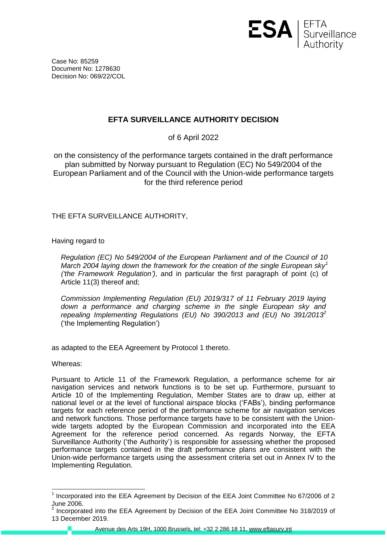

Case No: 85259 Document No: 1278630 Decision No: 069/22/COL

## **EFTA SURVEILLANCE AUTHORITY DECISION**

of 6 April 2022

on the consistency of the performance targets contained in the draft performance plan submitted by Norway pursuant to Regulation (EC) No 549/2004 of the European Parliament and of the Council with the Union-wide performance targets for the third reference period

THE EFTA SURVEILLANCE AUTHORITY,

Having regard to

*Regulation (EC) No 549/2004 of the European Parliament and of the Council of 10 March 2004 laying down the framework for the creation of the single European sky<sup>1</sup> ('the Framework Regulation')*, and in particular the first paragraph of point (c) of Article 11(3) thereof and;

*Commission Implementing Regulation (EU) 2019/317 of 11 February 2019 laying down a performance and charging scheme in the single European sky and repealing Implementing Regulations (EU) No 390/2013 and (EU) No 391/2013<sup>2</sup>* ('the Implementing Regulation')

as adapted to the EEA Agreement by Protocol 1 thereto.

Whereas:

Pursuant to Article 11 of the Framework Regulation, a performance scheme for air navigation services and network functions is to be set up. Furthermore, pursuant to Article 10 of the Implementing Regulation, Member States are to draw up, either at national level or at the level of functional airspace blocks ('FABs'), binding performance targets for each reference period of the performance scheme for air navigation services and network functions. Those performance targets have to be consistent with the Unionwide targets adopted by the European Commission and incorporated into the EEA Agreement for the reference period concerned. As regards Norway, the EFTA Surveillance Authority ('the Authority') is responsible for assessing whether the proposed performance targets contained in the draft performance plans are consistent with the Union-wide performance targets using the assessment criteria set out in Annex IV to the Implementing Regulation.

 1 Incorporated into the EEA Agreement by Decision of the EEA Joint Committee No 67/2006 of 2 June 2006.<br><sup>2</sup> Incorpora

Incorporated into the EEA Agreement by Decision of the EEA Joint Committee No 318/2019 of 13 December 2019.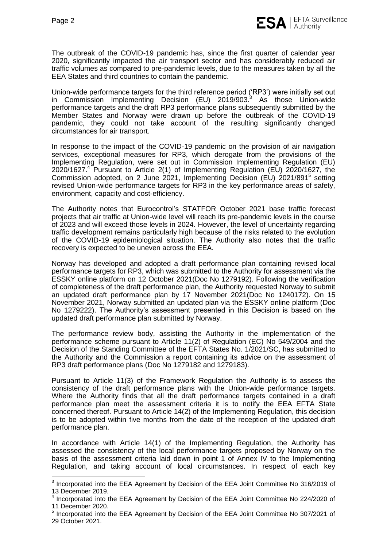The outbreak of the COVID-19 pandemic has, since the first quarter of calendar year 2020, significantly impacted the air transport sector and has considerably reduced air traffic volumes as compared to pre-pandemic levels, due to the measures taken by all the EEA States and third countries to contain the pandemic.

Union-wide performance targets for the third reference period ('RP3') were initially set out in Commission Implementing Decision (EU) 2019/903.<sup>3</sup> As those Union-wide performance targets and the draft RP3 performance plans subsequently submitted by the Member States and Norway were drawn up before the outbreak of the COVID-19 pandemic, they could not take account of the resulting significantly changed circumstances for air transport.

In response to the impact of the COVID-19 pandemic on the provision of air navigation services, exceptional measures for RP3, which derogate from the provisions of the Implementing Regulation, were set out in Commission Implementing Regulation (EU) 2020/1627. <sup>4</sup> Pursuant to Article 2(1) of Implementing Regulation (EU) 2020/1627, the Commission adopted, on 2 June 2021, Implementing Decision (EU) 2021/891<sup>5</sup> setting revised Union-wide performance targets for RP3 in the key performance areas of safety, environment, capacity and cost-efficiency.

The Authority notes that Eurocontrol's STATFOR October 2021 base traffic forecast projects that air traffic at Union-wide level will reach its pre-pandemic levels in the course of 2023 and will exceed those levels in 2024. However, the level of uncertainty regarding traffic development remains particularly high because of the risks related to the evolution of the COVID-19 epidemiological situation. The Authority also notes that the traffic recovery is expected to be uneven across the EEA.

Norway has developed and adopted a draft performance plan containing revised local performance targets for RP3, which was submitted to the Authority for assessment via the ESSKY online platform on 12 October 2021(Doc No 1279192). Following the verification of completeness of the draft performance plan, the Authority requested Norway to submit an updated draft performance plan by 17 November 2021(Doc No 1240172). On 15 November 2021, Norway submitted an updated plan via the ESSKY online platform (Doc No 1279222). The Authority's assessment presented in this Decision is based on the updated draft performance plan submitted by Norway.

The performance review body, assisting the Authority in the implementation of the performance scheme pursuant to Article 11(2) of Regulation (EC) No 549/2004 and the Decision of the Standing Committee of the EFTA States No. 1/2021/SC, has submitted to the Authority and the Commission a report containing its advice on the assessment of RP3 draft performance plans (Doc No 1279182 and 1279183).

Pursuant to Article 11(3) of the Framework Regulation the Authority is to assess the consistency of the draft performance plans with the Union-wide performance targets. Where the Authority finds that all the draft performance targets contained in a draft performance plan meet the assessment criteria it is to notify the EEA EFTA State concerned thereof. Pursuant to Article 14(2) of the Implementing Regulation, this decision is to be adopted within five months from the date of the reception of the updated draft performance plan.

In accordance with Article 14(1) of the Implementing Regulation, the Authority has assessed the consistency of the local performance targets proposed by Norway on the basis of the assessment criteria laid down in point 1 of Annex IV to the Implementing Regulation, and taking account of local circumstances. In respect of each key

 3 Incorporated into the EEA Agreement by Decision of the EEA Joint Committee No 316/2019 of 13 December 2019.

<sup>4</sup> Incorporated into the EEA Agreement by Decision of the EEA Joint Committee No 224/2020 of 11 December 2020.

<sup>&</sup>lt;sup>5</sup> Incorporated into the EEA Agreement by Decision of the EEA Joint Committee No 307/2021 of 29 October 2021.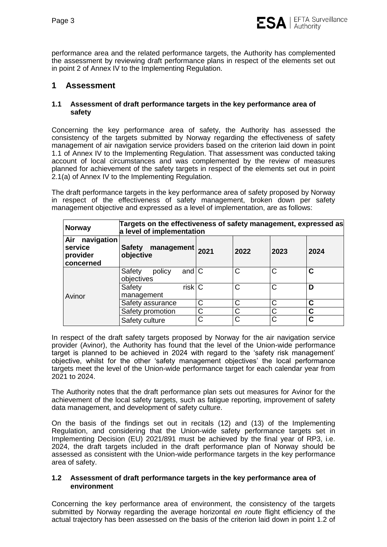

performance area and the related performance targets, the Authority has complemented the assessment by reviewing draft performance plans in respect of the elements set out in point 2 of Annex IV to the Implementing Regulation.

# **1 Assessment**

#### **1.1 Assessment of draft performance targets in the key performance area of safety**

Concerning the key performance area of safety, the Authority has assessed the consistency of the targets submitted by Norway regarding the effectiveness of safety management of air navigation service providers based on the criterion laid down in point 1.1 of Annex IV to the Implementing Regulation. That assessment was conducted taking account of local circumstances and was complemented by the review of measures planned for achievement of the safety targets in respect of the elements set out in point 2.1(a) of Annex IV to the Implementing Regulation.

The draft performance targets in the key performance area of safety proposed by Norway in respect of the effectiveness of safety management, broken down per safety management objective and expressed as a level of implementation, are as follows:

| <b>Norway</b>                                         | Targets on the effectiveness of safety management, expressed as<br>a level of implementation |              |              |              |             |  |
|-------------------------------------------------------|----------------------------------------------------------------------------------------------|--------------|--------------|--------------|-------------|--|
| navigation<br>Air<br>service<br>provider<br>concerned | management 2021<br><b>Safety</b><br>objective                                                |              | 2022         | 2023         | 2024        |  |
|                                                       | and $\overline{C}$<br>Safety<br>policy<br>objectives                                         |              | $\mathsf{C}$ | $\mathsf{C}$ | C           |  |
| Avinor                                                | $risk$ <sub>C</sub><br>Safety<br>management                                                  |              | C            | C            | D           |  |
|                                                       | Safety assurance                                                                             | $\mathsf{C}$ | C            | C            | $\mathbf C$ |  |
|                                                       | Safety promotion                                                                             | C            | C            | C            | C           |  |
|                                                       | Safety culture                                                                               | C            | C            | $\mathsf{C}$ | C           |  |

In respect of the draft safety targets proposed by Norway for the air navigation service provider (Avinor), the Authority has found that the level of the Union-wide performance target is planned to be achieved in 2024 with regard to the 'safety risk management' objective, whilst for the other 'safety management objectives' the local performance targets meet the level of the Union-wide performance target for each calendar year from 2021 to 2024.

The Authority notes that the draft performance plan sets out measures for Avinor for the achievement of the local safety targets, such as fatigue reporting, improvement of safety data management, and development of safety culture.

On the basis of the findings set out in recitals (12) and (13) of the Implementing Regulation, and considering that the Union-wide safety performance targets set in Implementing Decision (EU) 2021/891 must be achieved by the final year of RP3, i.e. 2024, the draft targets included in the draft performance plan of Norway should be assessed as consistent with the Union-wide performance targets in the key performance area of safety.

#### **1.2 Assessment of draft performance targets in the key performance area of environment**

Concerning the key performance area of environment, the consistency of the targets submitted by Norway regarding the average horizontal *en route* flight efficiency of the actual trajectory has been assessed on the basis of the criterion laid down in point 1.2 of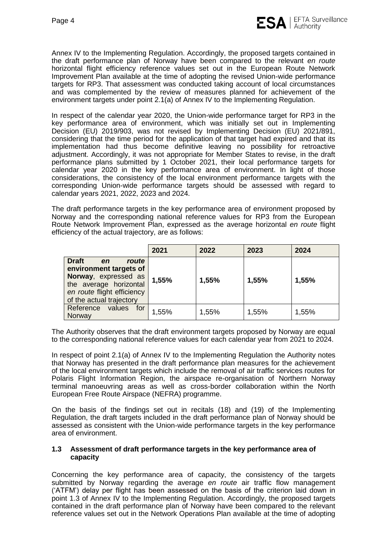

Annex IV to the Implementing Regulation. Accordingly, the proposed targets contained in the draft performance plan of Norway have been compared to the relevant *en route* horizontal flight efficiency reference values set out in the European Route Network Improvement Plan available at the time of adopting the revised Union-wide performance targets for RP3. That assessment was conducted taking account of local circumstances and was complemented by the review of measures planned for achievement of the environment targets under point 2.1(a) of Annex IV to the Implementing Regulation.

In respect of the calendar year 2020, the Union-wide performance target for RP3 in the key performance area of environment, which was initially set out in Implementing Decision (EU) 2019/903, was not revised by Implementing Decision (EU) 2021/891, considering that the time period for the application of that target had expired and that its implementation had thus become definitive leaving no possibility for retroactive adjustment. Accordingly, it was not appropriate for Member States to revise, in the draft performance plans submitted by 1 October 2021, their local performance targets for calendar year 2020 in the key performance area of environment. In light of those considerations, the consistency of the local environment performance targets with the corresponding Union-wide performance targets should be assessed with regard to calendar years 2021, 2022, 2023 and 2024.

The draft performance targets in the key performance area of environment proposed by Norway and the corresponding national reference values for RP3 from the European Route Network Improvement Plan, expressed as the average horizontal *en route* flight efficiency of the actual trajectory, are as follows:

|                                                                                                                                                                   | 2021  | 2022  | 2023  | 2024  |
|-------------------------------------------------------------------------------------------------------------------------------------------------------------------|-------|-------|-------|-------|
| <b>Draft</b><br>route<br>en<br>environment targets of<br>Norway, expressed as<br>the average horizontal<br>en route flight efficiency<br>of the actual trajectory | 1,55% | 1,55% | 1,55% | 1,55% |
| Reference<br>values<br>for<br>Norway                                                                                                                              | 1,55% | 1,55% | 1,55% | 1,55% |

The Authority observes that the draft environment targets proposed by Norway are equal to the corresponding national reference values for each calendar year from 2021 to 2024.

In respect of point 2.1(a) of Annex IV to the Implementing Regulation the Authority notes that Norway has presented in the draft performance plan measures for the achievement of the local environment targets which include the removal of air traffic services routes for Polaris Flight Information Region, the airspace re-organisation of Northern Norway terminal manoeuvring areas as well as cross-border collaboration within the North European Free Route Airspace (NEFRA) programme.

On the basis of the findings set out in recitals (18) and (19) of the Implementing Regulation, the draft targets included in the draft performance plan of Norway should be assessed as consistent with the Union-wide performance targets in the key performance area of environment.

#### **1.3 Assessment of draft performance targets in the key performance area of capacity**

Concerning the key performance area of capacity, the consistency of the targets submitted by Norway regarding the average *en route* air traffic flow management ('ATFM') delay per flight has been assessed on the basis of the criterion laid down in point 1.3 of Annex IV to the Implementing Regulation. Accordingly, the proposed targets contained in the draft performance plan of Norway have been compared to the relevant reference values set out in the Network Operations Plan available at the time of adopting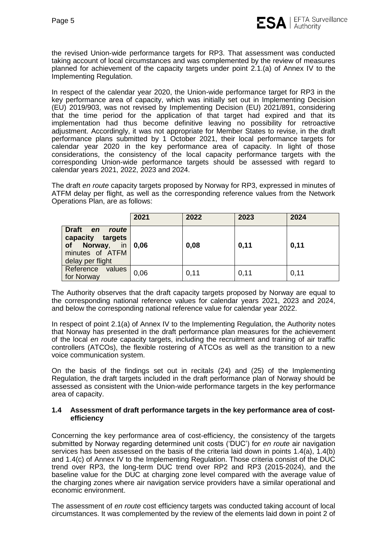the revised Union-wide performance targets for RP3. That assessment was conducted taking account of local circumstances and was complemented by the review of measures planned for achievement of the capacity targets under point 2.1.(a) of Annex IV to the Implementing Regulation.

In respect of the calendar year 2020, the Union-wide performance target for RP3 in the key performance area of capacity, which was initially set out in Implementing Decision (EU) 2019/903, was not revised by Implementing Decision (EU) 2021/891, considering that the time period for the application of that target had expired and that its implementation had thus become definitive leaving no possibility for retroactive adjustment. Accordingly, it was not appropriate for Member States to revise, in the draft performance plans submitted by 1 October 2021, their local performance targets for calendar year 2020 in the key performance area of capacity. In light of those considerations, the consistency of the local capacity performance targets with the corresponding Union-wide performance targets should be assessed with regard to calendar years 2021, 2022, 2023 and 2024.

The draft *en route* capacity targets proposed by Norway for RP3, expressed in minutes of ATFM delay per flight, as well as the corresponding reference values from the Network Operations Plan, are as follows:

|                                                                                                                        | 2021               | 2022 | 2023 | 2024 |
|------------------------------------------------------------------------------------------------------------------------|--------------------|------|------|------|
| Draft en<br>route<br>capacity targets<br>$\overline{\mathsf{in}}$<br>of Norway,<br>minutes of ATFM<br>delay per flight | $\vert 0.06 \vert$ | 0,08 | 0,11 | 0,11 |
| Reference values<br>for Norway                                                                                         | 0,06               | 0,11 | 0,11 | 0,11 |

The Authority observes that the draft capacity targets proposed by Norway are equal to the corresponding national reference values for calendar years 2021, 2023 and 2024, and below the corresponding national reference value for calendar year 2022.

In respect of point 2.1(a) of Annex IV to the Implementing Regulation, the Authority notes that Norway has presented in the draft performance plan measures for the achievement of the local *en route* capacity targets, including the recruitment and training of air traffic controllers (ATCOs), the flexible rostering of ATCOs as well as the transition to a new voice communication system.

On the basis of the findings set out in recitals (24) and (25) of the Implementing Regulation, the draft targets included in the draft performance plan of Norway should be assessed as consistent with the Union-wide performance targets in the key performance area of capacity.

#### **1.4 Assessment of draft performance targets in the key performance area of costefficiency**

Concerning the key performance area of cost-efficiency, the consistency of the targets submitted by Norway regarding determined unit costs ('DUC') for *en route* air navigation services has been assessed on the basis of the criteria laid down in points  $1.4(a)$ ,  $1.4(b)$ and 1.4(c) of Annex IV to the Implementing Regulation. Those criteria consist of the DUC trend over RP3, the long-term DUC trend over RP2 and RP3 (2015-2024), and the baseline value for the DUC at charging zone level compared with the average value of the charging zones where air navigation service providers have a similar operational and economic environment.

The assessment of *en route* cost efficiency targets was conducted taking account of local circumstances. It was complemented by the review of the elements laid down in point 2 of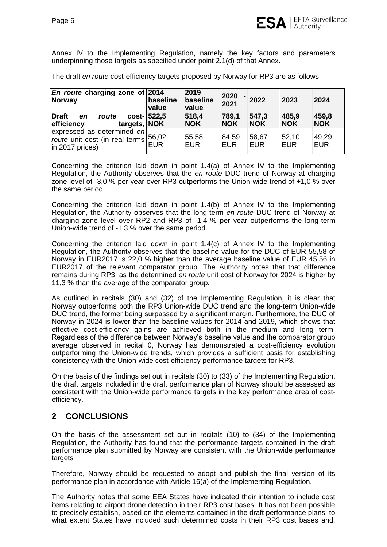Annex IV to the Implementing Regulation, namely the key factors and parameters underpinning those targets as specified under point 2.1(d) of that Annex.

The draft *en route* cost-efficiency targets proposed by Norway for RP3 are as follows:

| $ En$ route charging zone of 2014<br>Norway                                              | baseline<br>value   | 2019<br>baseline<br>value | 2020<br>2021        | 2022                | 2023                | 2024                |
|------------------------------------------------------------------------------------------|---------------------|---------------------------|---------------------|---------------------|---------------------|---------------------|
| Draft<br>route<br>en<br>efficiency<br>targets, NOK                                       | cost- 522,5         | 518,4<br><b>NOK</b>       | 789,1<br><b>NOK</b> | 547,3<br><b>NOK</b> | 485,9<br><b>NOK</b> | 459,8<br><b>NOK</b> |
| expressed as determined en<br>route unit cost (in real terms)<br>$\vert$ in 2017 prices) | 56,02<br><b>EUR</b> | 55,58<br><b>EUR</b>       | 84.59<br><b>EUR</b> | 58,67<br><b>EUR</b> | 52,10<br><b>EUR</b> | 49,29<br><b>EUR</b> |

Concerning the criterion laid down in point 1.4(a) of Annex IV to the Implementing Regulation, the Authority observes that the *en route* DUC trend of Norway at charging zone level of -3,0 % per year over RP3 outperforms the Union-wide trend of +1,0 % over the same period.

Concerning the criterion laid down in point 1.4(b) of Annex IV to the Implementing Regulation, the Authority observes that the long-term *en route* DUC trend of Norway at charging zone level over RP2 and RP3 of -1,4 % per year outperforms the long-term Union-wide trend of -1,3 % over the same period.

<span id="page-5-0"></span>Concerning the criterion laid down in point 1.4(c) of Annex IV to the Implementing Regulation, the Authority observes that the baseline value for the DUC of EUR 55,58 of Norway in EUR2017 is 22,0 % higher than the average baseline value of EUR 45,56 in EUR2017 of the relevant comparator group. The Authority notes that that difference remains during RP3, as the determined *en route* unit cost of Norway for 2024 is higher by 11,3 % than the average of the comparator group.

As outlined in recitals (30) and (32) of the Implementing Regulation, it is clear that Norway outperforms both the RP3 Union-wide DUC trend and the long-term Union-wide DUC trend, the former being surpassed by a significant margin. Furthermore, the DUC of Norway in 2024 is lower than the baseline values for 2014 and 2019, which shows that effective cost-efficiency gains are achieved both in the medium and long term. Regardless of the difference between Norway's baseline value and the comparator group average observed in recital [0,](#page-5-0) Norway has demonstrated a cost-efficiency evolution outperforming the Union-wide trends, which provides a sufficient basis for establishing consistency with the Union-wide cost-efficiency performance targets for RP3.

On the basis of the findings set out in recitals (30) to (33) of the Implementing Regulation, the draft targets included in the draft performance plan of Norway should be assessed as consistent with the Union-wide performance targets in the key performance area of costefficiency.

# **2 CONCLUSIONS**

On the basis of the assessment set out in recitals (10) to (34) of the Implementing Regulation, the Authority has found that the performance targets contained in the draft performance plan submitted by Norway are consistent with the Union-wide performance targets

Therefore, Norway should be requested to adopt and publish the final version of its performance plan in accordance with Article 16(a) of the Implementing Regulation.

The Authority notes that some EEA States have indicated their intention to include cost items relating to airport drone detection in their RP3 cost bases. It has not been possible to precisely establish, based on the elements contained in the draft performance plans, to what extent States have included such determined costs in their RP3 cost bases and,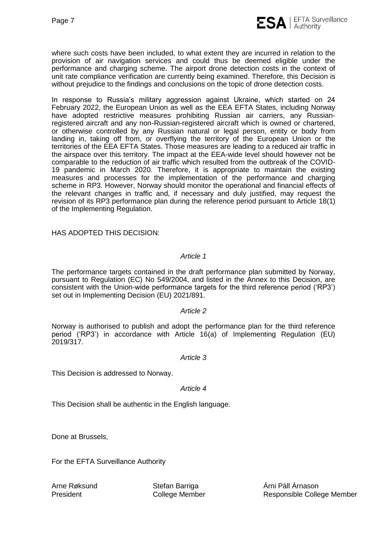

where such costs have been included, to what extent they are incurred in relation to the provision of air navigation services and could thus be deemed eligible under the performance and charging scheme. The airport drone detection costs in the context of unit rate compliance verification are currently being examined. Therefore, this Decision is without prejudice to the findings and conclusions on the topic of drone detection costs.

In response to Russia's military aggression against Ukraine, which started on 24 February 2022, the European Union as well as the EEA EFTA States, including Norway have adopted restrictive measures prohibiting Russian air carriers, any Russianregistered aircraft and any non-Russian-registered aircraft which is owned or chartered, or otherwise controlled by any Russian natural or legal person, entity or body from landing in, taking off from, or overflying the territory of the European Union or the territories of the EEA EFTA States. Those measures are leading to a reduced air traffic in the airspace over this territory. The impact at the EEA-wide level should however not be comparable to the reduction of air traffic which resulted from the outbreak of the COVID-19 pandemic in March 2020. Therefore, it is appropriate to maintain the existing measures and processes for the implementation of the performance and charging scheme in RP3. However, Norway should monitor the operational and financial effects of the relevant changes in traffic and, if necessary and duly justified, may request the revision of its RP3 performance plan during the reference period pursuant to Article 18(1) of the Implementing Regulation.

HAS ADOPTED THIS DECISION:

### *Article 1*

The performance targets contained in the draft performance plan submitted by Norway, pursuant to Regulation (EC) No 549/2004, and listed in the Annex to this Decision, are consistent with the Union-wide performance targets for the third reference period ('RP3') set out in Implementing Decision (EU) 2021/891.

### *Article 2*

Norway is authorised to publish and adopt the performance plan for the third reference period ('RP3') in accordance with Article 16(a) of Implementing Regulation (EU) 2019/317.

### *Article 3*

This Decision is addressed to Norway.

#### *Article 4*

This Decision shall be authentic in the English language.

Done at Brussels,

For the EFTA Surveillance Authority

Arne Røksund President

Stefan Barriga College Member Árni Páll Árnason Responsible College Member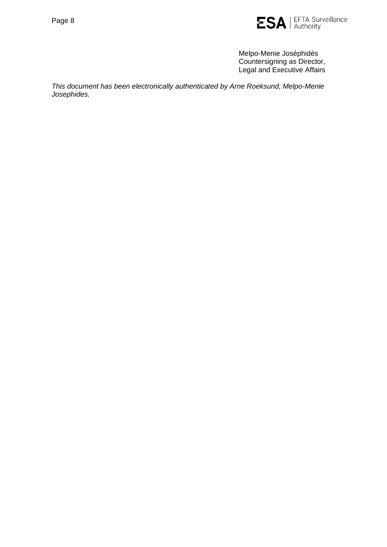

Melpo-Menie Joséphidès Countersigning as Director, Legal and Executive Affairs

*This document has been electronically authenticated by Arne Roeksund, Melpo-Menie Josephides.*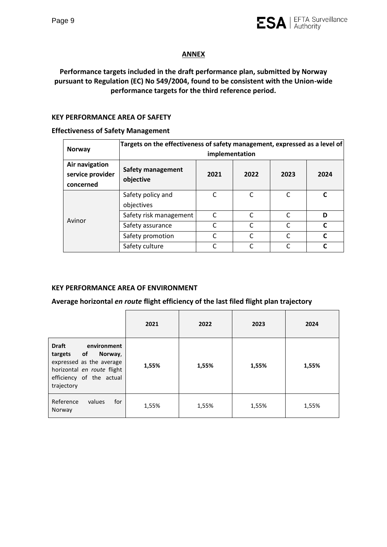

### **ANNEX**

## **Performance targets included in the draft performance plan, submitted by Norway pursuant to Regulation (EC) No 549/2004, found to be consistent with the Union-wide performance targets for the third reference period.**

### **KEY PERFORMANCE AREA OF SAFETY**

#### **Effectiveness of Safety Management**

| <b>Norway</b>                                   | Targets on the effectiveness of safety management, expressed as a level of<br>implementation |      |              |          |      |  |
|-------------------------------------------------|----------------------------------------------------------------------------------------------|------|--------------|----------|------|--|
| Air navigation<br>service provider<br>concerned | <b>Safety management</b><br>objective                                                        | 2021 | 2022         | 2023     | 2024 |  |
|                                                 | Safety policy and<br>objectives                                                              | C    | C            |          |      |  |
| Avinor                                          | Safety risk management                                                                       | C    | C            |          | D    |  |
|                                                 | Safety assurance                                                                             | C    | C            |          | C    |  |
|                                                 | Safety promotion                                                                             | C    | $\mathsf{C}$ | $\Gamma$ | r    |  |
|                                                 | Safety culture                                                                               |      |              |          |      |  |

### **KEY PERFORMANCE AREA OF ENVIRONMENT**

#### **Average horizontal** *en route* **flight efficiency of the last filed flight plan trajectory**

|                                                                                                                                                          | 2021  | 2022  | 2023  | 2024  |
|----------------------------------------------------------------------------------------------------------------------------------------------------------|-------|-------|-------|-------|
| <b>Draft</b><br>environment<br>targets of<br>Norway,<br>expressed as the average<br>horizontal en route flight<br>efficiency of the actual<br>trajectory | 1,55% | 1,55% | 1,55% | 1,55% |
| Reference<br>for<br>values<br>Norway                                                                                                                     | 1,55% | 1,55% | 1,55% | 1,55% |